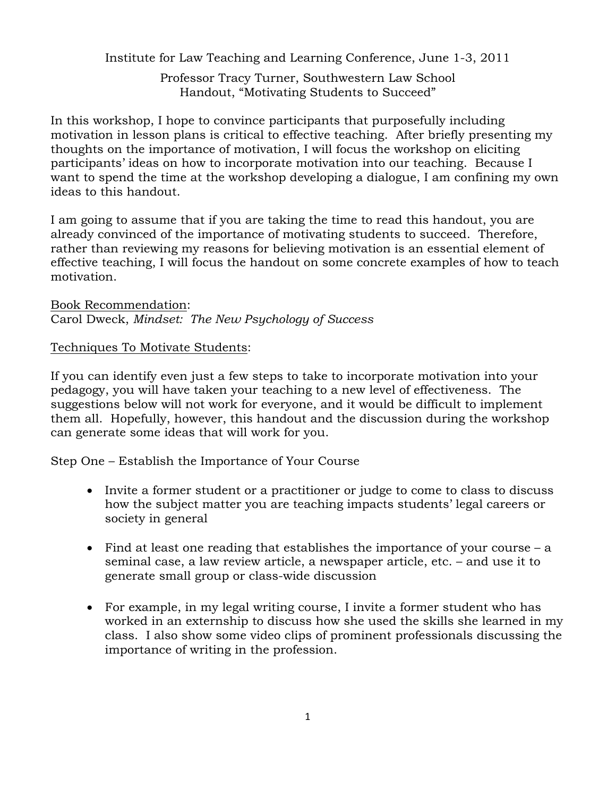Institute for Law Teaching and Learning Conference, June 1-3, 2011

Professor Tracy Turner, Southwestern Law School Handout, "Motivating Students to Succeed"

In this workshop, I hope to convince participants that purposefully including motivation in lesson plans is critical to effective teaching. After briefly presenting my thoughts on the importance of motivation, I will focus the workshop on eliciting participants' ideas on how to incorporate motivation into our teaching. Because I want to spend the time at the workshop developing a dialogue, I am confining my own ideas to this handout.

I am going to assume that if you are taking the time to read this handout, you are already convinced of the importance of motivating students to succeed. Therefore, rather than reviewing my reasons for believing motivation is an essential element of effective teaching, I will focus the handout on some concrete examples of how to teach motivation.

Book Recommendation: Carol Dweck, *Mindset: The New Psychology of Success* 

Techniques To Motivate Students:

If you can identify even just a few steps to take to incorporate motivation into your pedagogy, you will have taken your teaching to a new level of effectiveness. The suggestions below will not work for everyone, and it would be difficult to implement them all. Hopefully, however, this handout and the discussion during the workshop can generate some ideas that will work for you.

Step One – Establish the Importance of Your Course

- Invite a former student or a practitioner or judge to come to class to discuss how the subject matter you are teaching impacts students' legal careers or society in general
- Find at least one reading that establishes the importance of your course  $-$  a seminal case, a law review article, a newspaper article, etc. – and use it to generate small group or class-wide discussion
- For example, in my legal writing course, I invite a former student who has worked in an externship to discuss how she used the skills she learned in my class. I also show some video clips of prominent professionals discussing the importance of writing in the profession.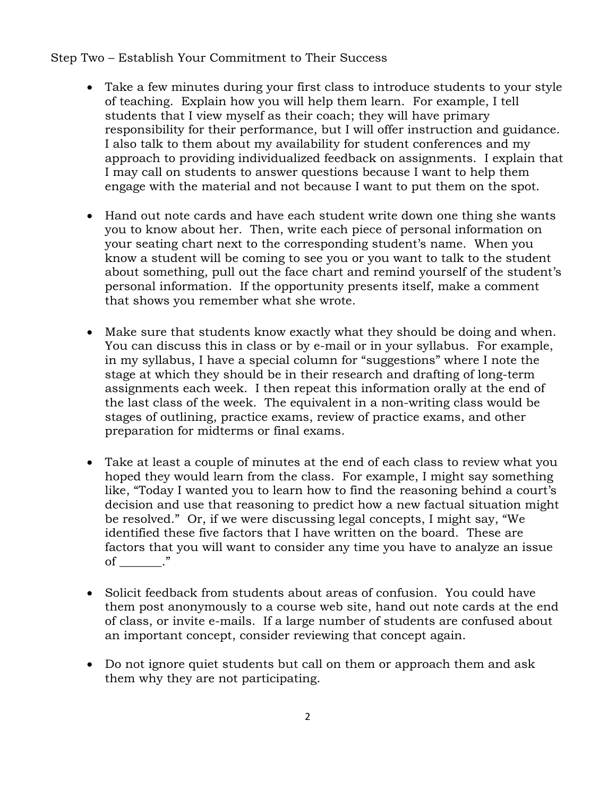## Step Two – Establish Your Commitment to Their Success

- Take a few minutes during your first class to introduce students to your style of teaching. Explain how you will help them learn. For example, I tell students that I view myself as their coach; they will have primary responsibility for their performance, but I will offer instruction and guidance. I also talk to them about my availability for student conferences and my approach to providing individualized feedback on assignments. I explain that I may call on students to answer questions because I want to help them engage with the material and not because I want to put them on the spot.
- Hand out note cards and have each student write down one thing she wants you to know about her. Then, write each piece of personal information on your seating chart next to the corresponding student's name. When you know a student will be coming to see you or you want to talk to the student about something, pull out the face chart and remind yourself of the student's personal information. If the opportunity presents itself, make a comment that shows you remember what she wrote.
- Make sure that students know exactly what they should be doing and when. You can discuss this in class or by e-mail or in your syllabus. For example, in my syllabus, I have a special column for "suggestions" where I note the stage at which they should be in their research and drafting of long-term assignments each week. I then repeat this information orally at the end of the last class of the week. The equivalent in a non-writing class would be stages of outlining, practice exams, review of practice exams, and other preparation for midterms or final exams.
- Take at least a couple of minutes at the end of each class to review what you hoped they would learn from the class. For example, I might say something like, "Today I wanted you to learn how to find the reasoning behind a court's decision and use that reasoning to predict how a new factual situation might be resolved." Or, if we were discussing legal concepts, I might say, "We identified these five factors that I have written on the board. These are factors that you will want to consider any time you have to analyze an issue of \_\_\_\_\_\_\_."
- Solicit feedback from students about areas of confusion. You could have them post anonymously to a course web site, hand out note cards at the end of class, or invite e-mails. If a large number of students are confused about an important concept, consider reviewing that concept again.
- Do not ignore quiet students but call on them or approach them and ask them why they are not participating.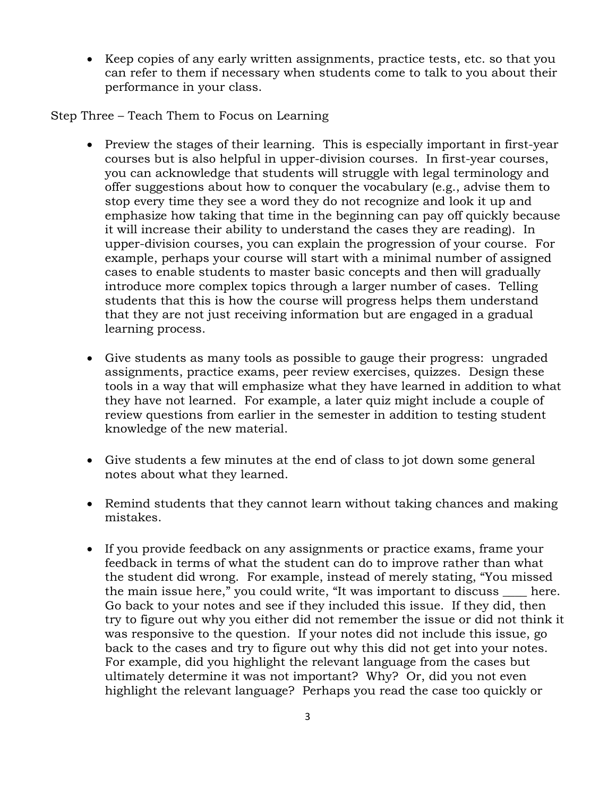• Keep copies of any early written assignments, practice tests, etc. so that you can refer to them if necessary when students come to talk to you about their performance in your class.

Step Three – Teach Them to Focus on Learning

- Preview the stages of their learning. This is especially important in first-year courses but is also helpful in upper-division courses. In first-year courses, you can acknowledge that students will struggle with legal terminology and offer suggestions about how to conquer the vocabulary (e.g., advise them to stop every time they see a word they do not recognize and look it up and emphasize how taking that time in the beginning can pay off quickly because it will increase their ability to understand the cases they are reading). In upper-division courses, you can explain the progression of your course. For example, perhaps your course will start with a minimal number of assigned cases to enable students to master basic concepts and then will gradually introduce more complex topics through a larger number of cases. Telling students that this is how the course will progress helps them understand that they are not just receiving information but are engaged in a gradual learning process.
- Give students as many tools as possible to gauge their progress: ungraded assignments, practice exams, peer review exercises, quizzes. Design these tools in a way that will emphasize what they have learned in addition to what they have not learned. For example, a later quiz might include a couple of review questions from earlier in the semester in addition to testing student knowledge of the new material.
- Give students a few minutes at the end of class to jot down some general notes about what they learned.
- Remind students that they cannot learn without taking chances and making mistakes.
- If you provide feedback on any assignments or practice exams, frame your feedback in terms of what the student can do to improve rather than what the student did wrong. For example, instead of merely stating, "You missed the main issue here," you could write, "It was important to discuss here. Go back to your notes and see if they included this issue. If they did, then try to figure out why you either did not remember the issue or did not think it was responsive to the question. If your notes did not include this issue, go back to the cases and try to figure out why this did not get into your notes. For example, did you highlight the relevant language from the cases but ultimately determine it was not important? Why? Or, did you not even highlight the relevant language? Perhaps you read the case too quickly or